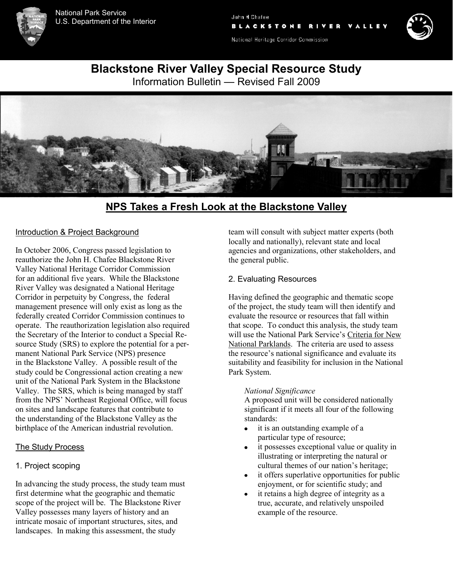

John H. Chafee **BLACKSTONE** 

National Heritage Corridor Commission



**Blackstone River Valley Special Resource Study**

Information Bulletin — Revised Fall 2009



# **NPS Takes a Fresh Look at the Blackstone Valley**

#### Introduction & Project Background

In October 2006, Congress passed legislation to reauthorize the John H. Chafee Blackstone River Valley National Heritage Corridor Commission for an additional five years. While the Blackstone River Valley was designated a National Heritage Corridor in perpetuity by Congress, the federal management presence will only exist as long as the federally created Corridor Commission continues to operate. The reauthorization legislation also required the Secretary of the Interior to conduct a Special Resource Study (SRS) to explore the potential for a permanent National Park Service (NPS) presence in the Blackstone Valley. A possible result of the study could be Congressional action creating a new unit of the National Park System in the Blackstone Valley. The SRS, which is being managed by staff from the NPS' Northeast Regional Office, will focus on sites and landscape features that contribute to the understanding of the Blackstone Valley as the birthplace of the American industrial revolution.

#### The Study Process

# 1. Project scoping

In advancing the study process, the study team must first determine what the geographic and thematic scope of the project will be. The Blackstone River Valley possesses many layers of history and an intricate mosaic of important structures, sites, and landscapes. In making this assessment, the study

team will consult with subject matter experts (both locally and nationally), relevant state and local agencies and organizations, other stakeholders, and the general public.

#### 2. Evaluating Resources

Having defined the geographic and thematic scope of the project, the study team will then identify and evaluate the resource or resources that fall within that scope. To conduct this analysis, the study team will use the National Park Service's Criteria for New National Parklands. The criteria are used to assess the resource's national significance and evaluate its suitability and feasibility for inclusion in the National Park System.

#### *National Significance*

A proposed unit will be considered nationally significant if it meets all four of the following standards:

- it is an outstanding example of a  $\bullet$ particular type of resource;
- it possesses exceptional value or quality in  $\bullet$ illustrating or interpreting the natural or cultural themes of our nation's heritage;
- it offers superlative opportunities for public enjoyment, or for scientific study; and
- it retains a high degree of integrity as a  $\bullet$ true, accurate, and relatively unspoiled example of the resource.